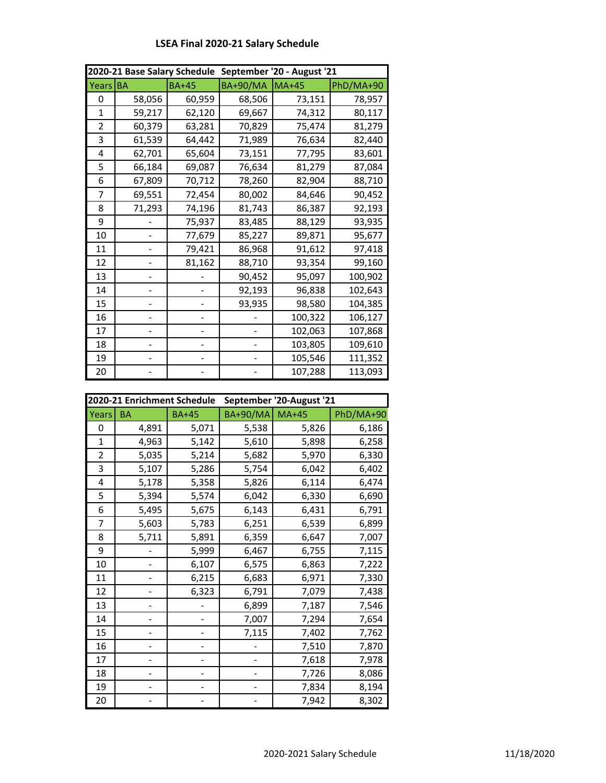| 2020-21 Base Salary Schedule September '20 - August '21 |           |              |          |         |           |
|---------------------------------------------------------|-----------|--------------|----------|---------|-----------|
| <b>Years</b>                                            | <b>BA</b> | <b>BA+45</b> | BA+90/MA | $MA+45$ | PhD/MA+90 |
| 0                                                       | 58,056    | 60,959       | 68,506   | 73,151  | 78,957    |
| 1                                                       | 59,217    | 62,120       | 69,667   | 74,312  | 80,117    |
| 2                                                       | 60,379    | 63,281       | 70,829   | 75,474  | 81,279    |
| 3                                                       | 61,539    | 64,442       | 71,989   | 76,634  | 82,440    |
| 4                                                       | 62,701    | 65,604       | 73,151   | 77,795  | 83,601    |
| 5                                                       | 66,184    | 69,087       | 76,634   | 81,279  | 87,084    |
| 6                                                       | 67,809    | 70,712       | 78,260   | 82,904  | 88,710    |
| 7                                                       | 69,551    | 72,454       | 80,002   | 84,646  | 90,452    |
| 8                                                       | 71,293    | 74,196       | 81,743   | 86,387  | 92,193    |
| 9                                                       |           | 75,937       | 83,485   | 88,129  | 93,935    |
| 10                                                      |           | 77,679       | 85,227   | 89,871  | 95,677    |
| 11                                                      |           | 79,421       | 86,968   | 91,612  | 97,418    |
| 12                                                      |           | 81,162       | 88,710   | 93,354  | 99,160    |
| 13                                                      |           |              | 90,452   | 95,097  | 100,902   |
| 14                                                      |           |              | 92,193   | 96,838  | 102,643   |
| 15                                                      |           |              | 93,935   | 98,580  | 104,385   |
| 16                                                      |           |              |          | 100,322 | 106,127   |
| 17                                                      |           |              |          | 102,063 | 107,868   |
| 18                                                      |           |              |          | 103,805 | 109,610   |
| 19                                                      |           |              |          | 105,546 | 111,352   |
| 20                                                      |           |              |          | 107,288 | 113,093   |

## **LSEA Final 2020-21 Salary Schedule**

| 2020-21 Enrichment Schedule |           |              | September '20-August '21 |         |           |
|-----------------------------|-----------|--------------|--------------------------|---------|-----------|
| Years                       | <b>BA</b> | <b>BA+45</b> | <b>BA+90/MA</b>          | $MA+45$ | PhD/MA+90 |
| 0                           | 4,891     | 5,071        | 5,538                    | 5,826   | 6,186     |
| 1                           | 4,963     | 5,142        | 5,610                    | 5,898   | 6,258     |
| 2                           | 5,035     | 5,214        | 5,682                    | 5,970   | 6,330     |
| 3                           | 5,107     | 5,286        | 5,754                    | 6,042   | 6,402     |
| 4                           | 5,178     | 5,358        | 5,826                    | 6,114   | 6,474     |
| 5                           | 5,394     | 5,574        | 6,042                    | 6,330   | 6,690     |
| 6                           | 5,495     | 5,675        | 6,143                    | 6,431   | 6,791     |
| 7                           | 5,603     | 5,783        | 6,251                    | 6,539   | 6,899     |
| 8                           | 5,711     | 5,891        | 6,359                    | 6,647   | 7,007     |
| 9                           |           | 5,999        | 6,467                    | 6,755   | 7,115     |
| 10                          |           | 6,107        | 6,575                    | 6,863   | 7,222     |
| 11                          |           | 6,215        | 6,683                    | 6,971   | 7,330     |
| 12                          |           | 6,323        | 6,791                    | 7,079   | 7,438     |
| 13                          |           |              | 6,899                    | 7,187   | 7,546     |
| 14                          |           |              | 7,007                    | 7,294   | 7,654     |
| 15                          |           |              | 7,115                    | 7,402   | 7,762     |
| 16                          |           |              |                          | 7,510   | 7,870     |
| 17                          |           |              |                          | 7,618   | 7,978     |
| 18                          |           |              |                          | 7,726   | 8,086     |
| 19                          |           |              |                          | 7,834   | 8,194     |
| 20                          |           |              |                          | 7,942   | 8,302     |